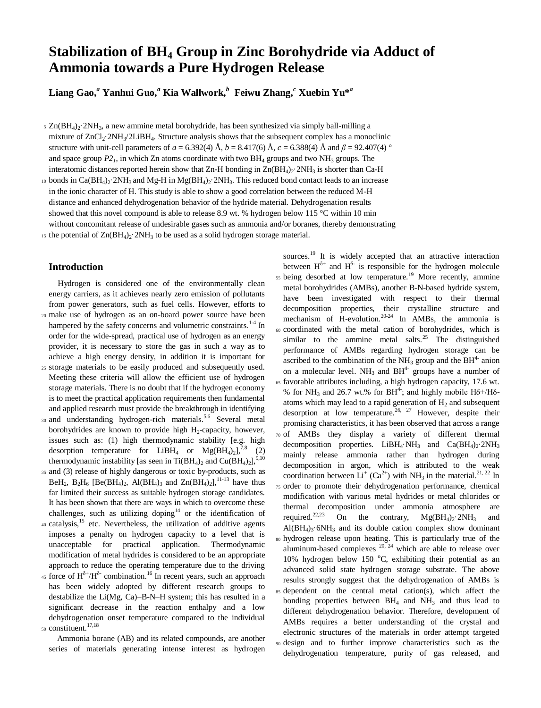# **Stabilization of BH<sup>4</sup> Group in Zinc Borohydride via Adduct of Ammonia towards a Pure Hydrogen Release**

 $\boldsymbol{\mathrm{Liang}}$  Gao, $^a$  Yanhui Guo, $^a$  Kia Wallwork, $^b$  Feiwu Zhang, $^c$  Xuebin Yu $^{*a}$ 

 $5 \text{ Zn(BH<sub>4</sub>)}_2$ ·2NH<sub>3</sub>, a new ammine metal borohydride, has been synthesized via simply ball-milling a mixture of  $ZnCl_2\text{-}2NH_3/2LiBH_4$ . Structure analysis shows that the subsequent complex has a monoclinic structure with unit-cell parameters of  $a = 6.392(4)$  Å,  $b = 8.417(6)$  Å,  $c = 6.388(4)$  Å and  $\beta = 92.407(4)$  ° and space group  $P_2$ , in which Zn atoms coordinate with two  $BH_4$  groups and two  $NH_3$  groups. The interatomic distances reported herein show that Zn-H bonding in  $\text{Zn(BH}_4)_{2}$ . 2NH<sub>3</sub> is shorter than Ca-H

10 bonds in Ca( $BH_4$ )<sub>2</sub>·2NH<sub>3</sub> and Mg-H in Mg( $BH_4$ )<sub>2</sub>·2NH<sub>3</sub>. This reduced bond contact leads to an increase in the ionic character of H. This study is able to show a good correlation between the reduced M-H distance and enhanced dehydrogenation behavior of the hydride material. Dehydrogenation results showed that this novel compound is able to release 8.9 wt. % hydrogen below 115 °C within 10 min without concomitant release of undesirable gases such as ammonia and/or boranes, thereby demonstrating

15 the potential of  $Zn(BH_4)_2$ ·2NH<sub>3</sub> to be used as a solid hydrogen storage material.

# **Introduction**

Hydrogen is considered one of the environmentally clean energy carriers, as it achieves nearly zero emission of pollutants from power generators, such as fuel cells. However, efforts to

- <sup>20</sup> make use of hydrogen as an on-board power source have been hampered by the safety concerns and volumetric constraints.<sup>1-4</sup> In order for the wide-spread, practical use of hydrogen as an energy provider, it is necessary to store the gas in such a way as to achieve a high energy density, in addition it is important for
- <sup>25</sup> storage materials to be easily produced and subsequently used. Meeting these criteria will allow the efficient use of hydrogen storage materials. There is no doubt that if the hydrogen economy is to meet the practical application requirements then fundamental and applied research must provide the breakthrough in identifying
- 30 and understanding hydrogen-rich materials.<sup>5,6</sup> Several metal borohydrides are known to provide high  $H_2$ -capacity, however, issues such as: (1) high thermodynamic stability [e.g. high desorption temperature for  $LiBH_4$  or  $Mg(BH_4)_2$ ],<sup>7,8</sup> (2) thermodynamic instability [as seen in Ti(BH<sub>4</sub>)<sub>2</sub> and Cu(BH<sub>4</sub>)<sub>2</sub>],<sup>9,10</sup>
- <sup>35</sup> and (3) release of highly dangerous or toxic by-products, such as BeH<sub>2</sub>, B<sub>2</sub>H<sub>6</sub> [Be(BH<sub>4</sub>)<sub>2</sub>, Al(BH<sub>4</sub>)<sub>3</sub> and Zn(BH<sub>4</sub>)<sub>2</sub>],<sup>11-13</sup> have thus far limited their success as suitable hydrogen storage candidates. It has been shown that there are ways in which to overcome these challenges, such as utilizing doping<sup>14</sup> or the identification of
- $40$  catalysis,<sup>15</sup> etc. Nevertheless, the utilization of additive agents imposes a penalty on hydrogen capacity to a level that is unacceptable for practical application. Thermodynamic modification of metal hydrides is considered to be an appropriate approach to reduce the operating temperature due to the driving
- <sup>45</sup> force of  $H^{\delta^+}/H^{\delta^-}$  combination.<sup>16</sup> In recent years, such an approach has been widely adopted by different research groups to destabilize the Li(Mg, Ca)–B-N–H system; this has resulted in a significant decrease in the reaction enthalpy and a low dehydrogenation onset temperature compared to the individual 50 constituent.<sup>17,18</sup>

Ammonia borane (AB) and its related compounds, are another series of materials generating intense interest as hydrogen

sources.<sup>19</sup> It is widely accepted that an attractive interaction between  $H^{\delta+}$  and  $H^{\delta-}$  is responsible for the hydrogen molecule 55 being desorbed at low temperature.<sup>19</sup> More recently, ammine metal borohydrides (AMBs), another B-N-based hydride system, have been investigated with respect to their thermal decomposition properties, their crystalline structure and mechanism of H-evolution.<sup>20-24</sup> In AMBs, the ammonia is <sup>60</sup> coordinated with the metal cation of borohydrides, which is similar to the ammine metal salts. $25$  The distinguished performance of AMBs regarding hydrogen storage can be ascribed to the combination of the  $NH<sub>3</sub>$  group and the  $BH<sup>4</sup>$  anion on a molecular level.  $NH_3$  and  $BH^4$  groups have a number of <sup>65</sup> favorable attributes including, a high hydrogen capacity, 17.6 wt. % for NH<sub>3</sub> and 26.7 wt.% for BH<sup>4-</sup>; and highly mobile H $\delta$ +/H $\delta$ atoms which may lead to a rapid generation of  $H_2$  and subsequent desorption at low temperature.<sup>26, 27</sup> However, despite their promising characteristics, it has been observed that across a range <sup>70</sup> of AMBs they display a variety of different thermal decomposition properties. LiBH<sub>4</sub>·NH<sub>3</sub> and Ca(BH<sub>4</sub>)<sub>2</sub>·2NH<sub>3</sub> mainly release ammonia rather than hydrogen during decomposition in argon, which is attributed to the weak coordination between  $Li^+(Ca^{2+})$  with NH<sub>3</sub> in the material.<sup>21, 22</sup> In <sup>75</sup> order to promote their dehydrogenation performance, chemical modification with various metal hydrides or metal chlorides or thermal decomposition under ammonia atmosphere are required.<sup>22,23</sup> On the contrary,  $Mg(BH_4)_2$ .2NH<sub>3</sub> and  $Al(BH<sub>4</sub>)<sub>3</sub>$ ·6NH<sub>3</sub> and its double cation complex show dominant <sup>80</sup> hydrogen release upon heating. This is particularly true of the aluminum-based complexes  $20$ ,  $24$  which are able to release over 10% hydrogen below 150  $^{\circ}$ C, exhibiting their potential as an advanced solid state hydrogen storage substrate. The above results strongly suggest that the dehydrogenation of AMBs is <sup>85</sup> dependent on the central metal cation(s), which affect the bonding properties between  $BH<sub>4</sub>$  and  $NH<sub>3</sub>$  and thus lead to different dehydrogenation behavior. Therefore, development of AMBs requires a better understanding of the crystal and electronic structures of the materials in order attempt targeted <sup>90</sup> design and to further improve characteristics such as the dehydrogenation temperature, purity of gas released, and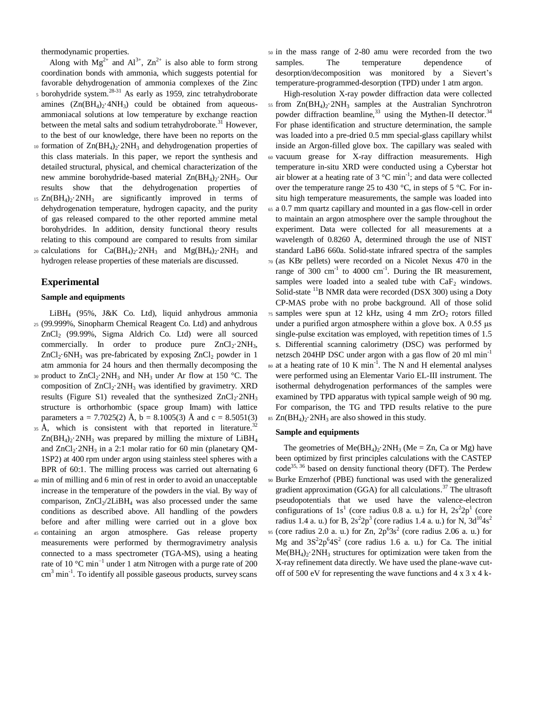thermodynamic properties.

Along with  $Mg^{2+}$  and  $Al^{3+}$ ,  $Zn^{2+}$  is also able to form strong coordination bonds with ammonia, which suggests potential for favorable dehydrogenation of ammonia complexes of the Zinc

- <sub>5</sub> borohydride system.<sup>28-31</sup> As early as 1959, zinc tetrahydroborate amines  $(Zn(BH_4)$ <sup>2</sup>·4NH<sub>3</sub> could be obtained from aqueousammoniacal solutions at low temperature by exchange reaction between the metal salts and sodium tetrahydroborate.<sup>31</sup> However, to the best of our knowledge, there have been no reports on the
- 10 formation of  $Zn(BH_4)_2$ :  $2NH_3$  and dehydrogenation properties of this class materials. In this paper, we report the synthesis and detailed structural, physical, and chemical characterization of the new ammine borohydride-based material  $Zn(BH_4)_2$ ·2NH<sub>3</sub>. Our results show that the dehydrogenation properties of
- $15$  Zn(BH<sub>4</sub>) $\cdot$ 2NH<sub>3</sub> are significantly improved in terms of dehydrogenation temperature, hydrogen capacity, and the purity of gas released compared to the other reported ammine metal borohydrides. In addition, density functional theory results relating to this compound are compared to results from similar 20 calculations for  $Ca(BH_4)_2$ ·2NH<sub>3</sub> and Mg(BH<sub>4</sub>)<sub>2</sub>·2NH<sub>3</sub> and
- hydrogen release properties of these materials are discussed.

# **Experimental**

### **Sample and equipments**

LiBH<sup>4</sup> (95%, J&K Co. Ltd), liquid anhydrous ammonia <sup>25</sup> (99.999%, Sinopharm Chemical Reagent Co. Ltd) and anhydrous ZnCl<sup>2</sup> (99.99%, Sigma Aldrich Co. Ltd) were all sourced commercially. In order to produce pure  $ZnCl_2.2NH_3$ ,  $ZnCl_2$ ·6NH<sub>3</sub> was pre-fabricated by exposing  $ZnCl_2$  powder in 1 atm ammonia for 24 hours and then thermally decomposing the

- 30 product to  $ZnCl_2$ -2NH<sub>3</sub> and NH<sub>3</sub> under Ar flow at 150 °C. The composition of  $ZnCl_2$ ·2NH<sub>3</sub> was identified by gravimetry. XRD results (Figure S1) revealed that the synthesized  $ZnCl_2.2NH_3$ structure is orthorhombic (space group Imam) with lattice parameters a = 7.7025(2) Å, b = 8.1005(3) Å and c = 8.5051(3)
- 35 Å, which is consistent with that reported in literature.<sup>32</sup>  $Zn(BH_4)_2$ . 2NH<sub>3</sub> was prepared by milling the mixture of LiBH<sub>4</sub> and  $ZnCl_2.2NH_3$  in a 2:1 molar ratio for 60 min (planetary OM-1SP2) at 400 rpm under argon using stainless steel spheres with a BPR of 60:1. The milling process was carried out alternating 6
- <sup>40</sup> min of milling and 6 min of rest in order to avoid an unacceptable increase in the temperature of the powders in the vial. By way of comparison,  $ZnCl_2/2LiBH_4$  was also processed under the same conditions as described above. All handling of the powders before and after milling were carried out in a glove box
- <sup>45</sup> containing an argon atmosphere. Gas release property measurements were performed by thermogravimetry analysis connected to a mass spectrometer (TGA-MS), using a heating rate of 10  $^{\circ}$ C min<sup>-1</sup> under 1 atm Nitrogen with a purge rate of 200  $\text{cm}^3$  min<sup>-1</sup>. To identify all possible gaseous products, survey scans

<sup>50</sup> in the mass range of 2-80 amu were recorded from the two samples. The temperature dependence of desorption/decomposition was monitored by a Sievert's temperature-programmed-desorption (TPD) under 1 atm argon.

High-resolution X-ray powder diffraction data were collected 55 from  $Zn(BH_4)$ <sup>2</sup>NH<sub>3</sub> samples at the Australian Synchrotron powder diffraction beamline,  $33$  using the Mythen-II detector.  $34$ For phase identification and structure determination, the sample was loaded into a pre-dried 0.5 mm special-glass capillary whilst inside an Argon-filled glove box. The capillary was sealed with <sup>60</sup> vacuum grease for X-ray diffraction measurements. High temperature in-situ XRD were conducted using a Cyberstar hot air blower at a heating rate of  $3^{\circ}$ C min<sup>-1</sup>; and data were collected over the temperature range 25 to 430 °C, in steps of 5 °C. For insitu high temperature measurements, the sample was loaded into <sup>65</sup> a 0.7 mm quartz capillary and mounted in a gas flow-cell in order to maintain an argon atmosphere over the sample throughout the experiment. Data were collected for all measurements at a wavelength of 0.8260 Å, determined through the use of NIST standard LaB6 660a. Solid-state infrared spectra of the samples <sup>70</sup> (as KBr pellets) were recorded on a Nicolet Nexus 470 in the range of 300 cm<sup>-1</sup> to 4000 cm<sup>-1</sup>. During the IR measurement, samples were loaded into a sealed tube with  $CaF<sub>2</sub>$  windows. Solid-state <sup>11</sup>B NMR data were recorded (DSX 300) using a Doty CP-MAS probe with no probe background. All of those solid  $75$  samples were spun at 12 kHz, using 4 mm  $ZrO<sub>2</sub>$  rotors filled

under a purified argon atmosphere within a glove box. A 0.55 μs single-pulse excitation was employed, with repetition times of 1.5 s. Differential scanning calorimetry (DSC) was performed by netzsch 204HP DSC under argon with a gas flow of 20 ml min<sup>-1</sup>

 $so$  at a heating rate of 10 K min<sup>-1</sup>. The N and H elemental analyses were performed using an Elementar Vario EL-III instrument. The isothermal dehydrogenation performances of the samples were examined by TPD apparatus with typical sample weigh of 90 mg. For comparison, the TG and TPD results relative to the pure  $85$  Zn(BH<sub>4</sub>)<sub>2</sub>.2NH<sub>3</sub> are also showed in this study.

#### **Sample and equipments**

The geometries of  $Me(BH_4)_{2}$ .  $2NH_3$  (Me = Zn, Ca or Mg) have been optimized by first principles calculations with the CASTEP code<sup>35, 36</sup> based on density functional theory (DFT). The Perdew <sup>90</sup> Burke Ernzerhof (PBE) functional was used with the generalized gradient approximation (GGA) for all calculations. <sup>37</sup> The ultrasoft pseudopotentials that we used have the valence-electron configurations of  $1s<sup>1</sup>$  (core radius 0.8 a. u.) for H,  $2s<sup>2</sup>2p<sup>1</sup>$  (core radius 1.4 a. u.) for B,  $2s^2 2p^3$  (core radius 1.4 a. u.) for N,  $3d^{10} 4s^2$ 95 (core radius 2.0 a. u.) for Zn,  $2p^{6}3s^{2}$  (core radius 2.06 a. u.) for Mg and  $3S^22p^64S^2$  (core radius 1.6 a. u.) for Ca. The initial  $Me(BH<sub>4</sub>)<sub>2</sub>$ . 2NH<sub>3</sub> structures for optimization were taken from the X-ray refinement data directly. We have used the plane-wave cutoff of 500 eV for representing the wave functions and 4 x 3 x 4 k-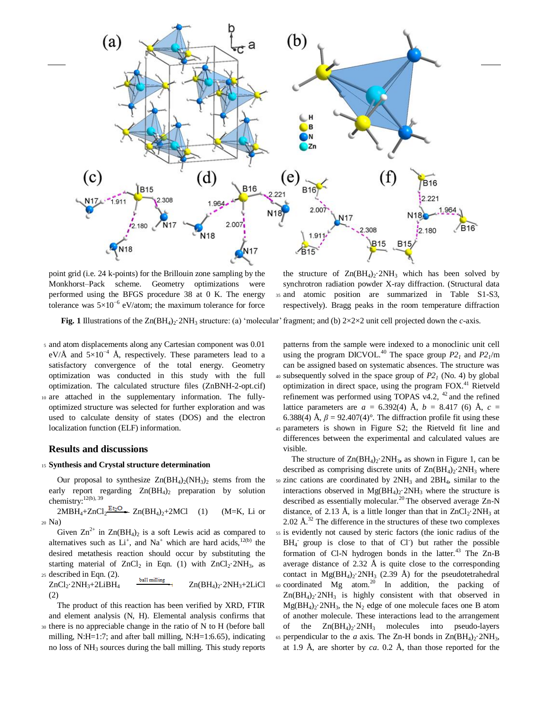

point grid (i.e. 24 k-points) for the Brillouin zone sampling by the Monkhorst–Pack scheme. Geometry optimizations were performed using the BFGS procedure 38 at 0 K. The energy tolerance was  $5\times10^{-6}$  eV/atom; the maximum tolerance for force

the structure of  $Zn(BH_4)$ <sup>2</sup>NH<sub>3</sub> which has been solved by synchrotron radiation powder X-ray diffraction. (Structural data <sup>35</sup> and atomic position are summarized in Table S1-S3, respectively). Bragg peaks in the room temperature diffraction

**Fig. 1** Illustrations of the  $Zn(BH_4)_2$ ·2NH<sub>3</sub> structure: (a) 'molecular' fragment; and (b)  $2 \times 2 \times 2$  unit cell projected down the *c*-axis.

<sup>5</sup> and atom displacements along any Cartesian component was 0.01 eV/Å and  $5\times10^{-4}$  Å, respectively. These parameters lead to a satisfactory convergence of the total energy. Geometry optimization was conducted in this study with the full optimization. The calculated structure files (ZnBNH-2-opt.cif) <sup>10</sup> are attached in the supplementary information. The fullyoptimized structure was selected for further exploration and was used to calculate density of states (DOS) and the electron localization function (ELF) information.

#### **Results and discussions**

# <sup>15</sup> **Synthesis and Crystal structure determination**

Our proposal to synthesize  $Zn(BH_4)_2(NH_3)_2$  stems from the early report regarding  $Zn(BH_4)$ <sub>2</sub> preparation by solution chemistry:<sup>12(b), 39</sup>

 $2MBH_4+ZnCl_2$ <sup>Et<sub>2</sub>O</sup>  $2n(BH_4)_2+2MCl$  (1) (M=K, Li or <sup>20</sup> Na)

Given  $\text{Zn}^{2+}$  in  $\text{Zn}(BH_4)$ <sub>2</sub> is a soft Lewis acid as compared to alternatives such as  $Li^+$ , and  $Na^+$  which are hard acids,  $12(b)$  the desired metathesis reaction should occur by substituting the starting material of ZnCl<sub>2</sub> in Eqn. (1) with  $ZnCl_2·2NH_3$ , as <sup>25</sup> described in Eqn. (2).

 $ZnCl_2$ ·2NH<sub>3</sub>+2LiBH<sub>4</sub>  $\frac{\text{ball milling}}{\text{nulling}}$   $Zn(BH_4)$ <sub>2</sub>·2NH<sub>3</sub>+2LiCl (2)

The product of this reaction has been verified by XRD, FTIR and element analysis (N, H). Elemental analysis confirms that <sup>30</sup> there is no appreciable change in the ratio of N to H (before ball milling, N:H=1:7; and after ball milling, N:H=1:6.65), indicating no loss of NH<sup>3</sup> sources during the ball milling. This study reports

patterns from the sample were indexed to a monoclinic unit cell using the program DICVOL.<sup>40</sup> The space group  $P2<sub>1</sub>$  and  $P2<sub>1</sub>/m$ can be assigned based on systematic absences. The structure was  $40$  subsequently solved in the space group of  $P2<sub>I</sub>$  (No. 4) by global optimization in direct space, using the program FOX.<sup>41</sup> Rietveld refinement was performed using TOPAS v4.2,  $42$  and the refined lattice parameters are  $a = 6.392(4)$  Å,  $b = 8.417$  (6) Å,  $c =$ 6.388(4) Å,  $\beta$  = 92.407(4)°. The diffraction profile fit using these <sup>45</sup> parameters is shown in Figure S2; the Rietveld fit line and differences between the experimental and calculated values are visible.

The structure of  $Zn(BH_4)_2$ <sup>2</sup>NH<sub>3</sub>, as shown in Figure 1, can be described as comprising discrete units of  $Zn(BH_4)$ . 2NH<sub>3</sub> where <sup>50</sup> zinc cations are coordinated by 2NH<sup>3</sup> and 2BH4, similar to the interactions observed in  $Mg(BH_4)_2$ :  $2NH_3$  where the structure is described as essentially molecular.<sup>20</sup> The observed average Zn-N distance, of 2.13 Å, is a little longer than that in  $ZnCl_2$ -2NH<sub>3</sub> at  $2.02 \text{ Å}^{32}$  The difference in the structures of these two complexes <sup>55</sup> is evidently not caused by steric factors (the ionic radius of the BH<sub>4</sub> group is close to that of Cl but rather the possible formation of Cl-N hydrogen bonds in the latter. $43$  The Zn-B average distance of  $2.32 \text{ Å}$  is quite close to the corresponding contact in  $Mg(BH_4)_2$ <sup>2</sup>NH<sub>3</sub> (2.39 Å) for the pseudotetrahedral 60 coordinated Mg atom.<sup>20</sup> In addition, the packing of  $Zn(BH_4)_2$ ·2NH<sub>3</sub> is highly consistent with that observed in  $Mg(BH_4)_2$ <sup>2</sup>NH<sub>3</sub>, the N<sub>2</sub> edge of one molecule faces one B atom of another molecule. These interactions lead to the arrangement of the  $Zn(BH_4)_2$ ·2NH<sub>3</sub> molecules into pseudo-layers 65 perpendicular to the *a* axis. The Zn-H bonds in  $\text{Zn(BH4)}_2$ :  $2NH_3$ , at 1.9 Å, are shorter by *ca*. 0.2 Å, than those reported for the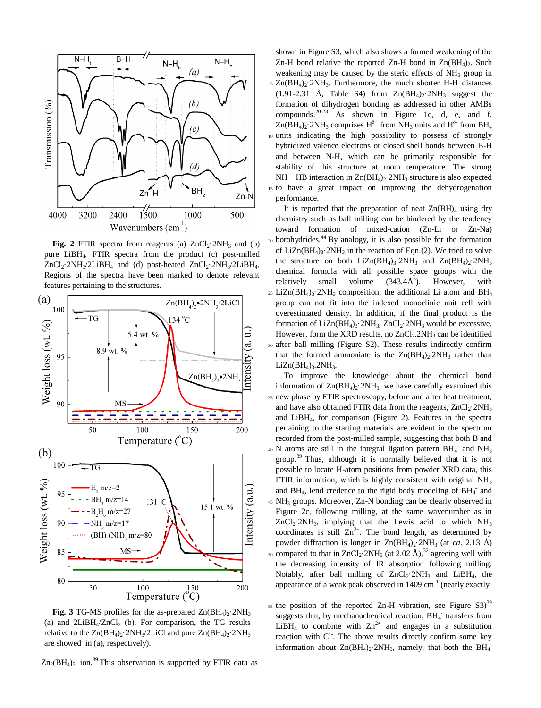

**Fig.** 2 FTIR spectra from reagents (a)  $ZnCl_2 \tcdot 2NH_3$  and (b) pure LiBH4. FTIR spectra from the product (c) post-milled  $ZnCl_2$ ·2NH<sub>3</sub>/2LiBH<sub>4</sub> and (d) post-heated  $ZnCl_2$ ·2NH<sub>3</sub>/2LiBH<sub>4</sub>. Regions of the spectra have been marked to denote relevant features pertaining to the structures.



**Fig. 3** TG-MS profiles for the as-prepared  $Zn(BH_4)2.2NH_3$ (a) and  $2LiBH<sub>4</sub>/ZnCl<sub>2</sub>$  (b). For comparison, the TG results relative to the  $Zn(BH_4)_2$ ·2NH<sub>3</sub>/2LiCl and pure  $Zn(BH_4)_2$ ·2NH<sub>3</sub> are showed in (a), respectively).

 $\text{Zn}_2(\text{BH}_4)$ <sub>5</sub> ion.<sup>39</sup> This observation is supported by FTIR data as

shown in Figure S3, which also shows a formed weakening of the Zn-H bond relative the reported Zn-H bond in  $Zn(BH_4)_2$ . Such weakening may be caused by the steric effects of  $NH_3$  group in  $5$  Zn(BH<sub>4</sub>)<sub>2</sub>·2NH<sub>3</sub>. Furthermore, the much shorter H-H distances  $(1.91-2.31 \text{ Å}, \text{Table S4})$  from  $Zn(BH_4)_2$ . 2NH<sub>3</sub> suggest the formation of dihydrogen bonding as addressed in other AMBs compounds.  $20-23$  As shown in Figure 1c, d, e, and f,  $Zn(BH_4)_2$ ·2NH<sub>3</sub> comprises  $H^{\delta^+}$  from NH<sub>3</sub> units and  $H^{\delta^-}$  from BH<sub>4</sub> <sup>10</sup> units indicating the high possibility to possess of strongly hybridized valence electrons or closed shell bonds between B-H and between N-H, which can be primarily responsible for stability of this structure at room temperature. The strong NH $\cdots$ HB interaction in Zn(BH<sub>4</sub>)<sub>2</sub>·2NH<sub>3</sub> structure is also expected <sup>15</sup> to have a great impact on improving the dehydrogenation performance.

It is reported that the preparation of neat  $Zn(BH)<sub>4</sub>$  using dry chemistry such as ball milling can be hindered by the tendency toward formation of mixed-cation (Zn-Li or Zn-Na) 20 borohydrides.<sup>44</sup> By analogy, it is also possible for the formation of LiZn( $BH_4$ )<sub>3</sub>·2NH<sub>3</sub> in the reaction of Eqn.(2). We tried to solve the structure on both  $LiZn(BH_4)_3$ ·2NH<sub>3</sub> and  $Zn(BH_4)_2$ ·2NH<sub>3</sub> chemical formula with all possible space groups with the relatively small volume  $(343.4\AA^3)$ . However, with 25 LiZn( $BH_4$ )<sub>3</sub> $\cdot$ 2NH<sub>3</sub> composition, the additional Li atom and  $BH_4$ group can not fit into the indexed monoclinic unit cell with overestimated density. In addition, if the final product is the formation of  $LiZn(BH_4)$ <sub>3</sub>·2NH<sub>3</sub>,  $ZnCl_2$ ·2NH<sub>3</sub> would be excessive. However, form the XRD results, no  $ZnCl<sub>2</sub>$ .  $2NH<sub>3</sub>$  can be identified <sup>30</sup> after ball milling (Figure S2). These results indirectly confirm that the formed ammoniate is the  $Zn(BH_4)$ . 2NH<sub>3</sub> rather than  $LiZn(BH_4)$ <sub>3</sub>.2NH<sub>3</sub>.

To improve the knowledge about the chemical bond information of  $Zn(BH_4)$ <sup>2</sup>/2NH<sub>3</sub>, we have carefully examined this <sup>35</sup> new phase by FTIR spectroscopy, before and after heat treatment, and have also obtained FTIR data from the reagents,  $ZnCl_2·2NH_3$ and LiBH4, for comparison (Figure 2). Features in the spectra pertaining to the starting materials are evident in the spectrum recorded from the post-milled sample, suggesting that both B and  $40$  N atoms are still in the integral ligation pattern BH<sub>4</sub><sup>-</sup> and NH<sub>3</sub> group.<sup>39</sup> Thus, although it is normally believed that it is not possible to locate H-atom positions from powder XRD data, this FTIR information, which is highly consistent with original  $NH<sub>3</sub>$ and BH<sub>4</sub>, lend credence to the rigid body modeling of  $BH_4^-$  and <sup>45</sup> NH<sup>3</sup> groups. Moreover, Zn-N bonding can be clearly observed in Figure 2c, following milling, at the same wavenumber as in  $ZnCl_2.2NH_3$ , implying that the Lewis acid to which  $NH_3$ coordinates is still  $Zn^{2+}$ . The bond length, as determined by powder diffraction is longer in Zn(BH<sub>4</sub>)<sub>2</sub>·2NH<sub>3</sub> (at *ca*. 2.13 Å) <sup>50</sup> compared to that in  $ZnCl_2 \tcdot 2NH_3$  (at 2.02 Å),<sup>32</sup> agreeing well with the decreasing intensity of IR absorption following milling. Notably, after ball milling of  $ZnCl_2·2NH_3$  and  $LiBH_4$ , the appearance of a weak peak observed in  $1409 \text{ cm}^{-1}$  (nearly exactly

 $55$  the position of the reported Zn-H vibration, see Figure S3)<sup>39</sup> suggests that, by mechanochemical reaction, BH<sub>4</sub> transfers from LiBH<sub>4</sub> to combine with  $\text{Zn}^{2+}$  and engages in a substitution reaction with Cl. The above results directly confirm some key information about  $Zn(BH_4)_2$ :  $2NH_3$ , namely, that both the  $BH_4$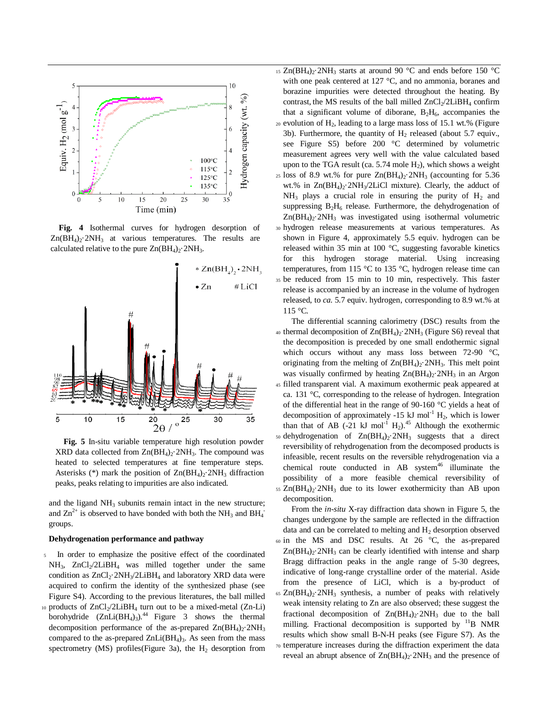

**Fig. 4** Isothermal curves for hydrogen desorption of  $Zn(BH_4)_2$ :  $2NH_3$  at various temperatures. The results are calculated relative to the pure  $Zn(BH_4)_2$ <sup>2</sup>NH<sub>3</sub>.



**Fig. 5** In-situ variable temperature high resolution powder XRD data collected from  $Zn(BH_4)$ <sup>2</sup> $NH_3$ . The compound was heated to selected temperatures at fine temperature steps. Asterisks (\*) mark the position of  $Zn(BH_4)_2$ ·2NH<sub>3</sub> diffraction peaks, peaks relating to impurities are also indicated.

and the ligand  $NH<sub>3</sub>$  subunits remain intact in the new structure; and  $\text{Zn}^{2+}$  is observed to have bonded with both the NH<sub>3</sub> and BH<sub>4</sub> groups.

#### **Dehydrogenation performance and pathway**

- In order to emphasize the positive effect of the coordinated NH<sub>3</sub>, ZnCl<sub>2</sub>/2LiBH<sub>4</sub> was milled together under the same condition as  $ZnCl_2·2NH_3/2LiBH_4$  and laboratory XRD data were acquired to confirm the identity of the synthesized phase (see Figure S4). According to the previous literatures, the ball milled
- 10 products of ZnCl<sub>2</sub>/2LiBH<sub>4</sub> turn out to be a mixed-metal (Zn-Li) borohydride  $(ZnLi(BH_4)_3)$ .<sup>44</sup> Figure 3 shows the thermal decomposition performance of the as-prepared  $Zn(BH_4)_2$ :  $2NH_3$ compared to the as-prepared  $ZnLi(BH_4)$ <sub>3</sub>. As seen from the mass spectrometry (MS) profiles(Figure 3a), the  $H_2$  desorption from
- 15 Zn(BH<sub>4</sub>)<sub>2</sub>·2NH<sub>3</sub> starts at around 90 °C and ends before 150 °C with one peak centered at 127 °C, and no ammonia, boranes and borazine impurities were detected throughout the heating. By contrast, the MS results of the ball milled  $ZnCl<sub>2</sub>/2LiBH<sub>4</sub>$  confirm that a significant volume of diborane,  $B_2H_6$ , accompanies the  $20$  evolution of  $H_2$ , leading to a large mass loss of 15.1 wt.% (Figure
- 3b). Furthermore, the quantity of  $H_2$  released (about 5.7 equiv., see Figure S5) before 200 °C determined by volumetric measurement agrees very well with the value calculated based upon to the TGA result (ca.  $5.74$  mole  $H_2$ ), which shows a weight 25 loss of 8.9 wt.% for pure  $Zn(BH_4)_2$ :  $2NH_3$  (accounting for 5.36 wt.% in  $Zn(BH_4)_2$ :  $2NH_3/2LiCl$  mixture). Clearly, the adduct of  $NH_3$  plays a crucial role in ensuring the purity of  $H_2$  and suppressing  $B_2H_6$  release. Furthermore, the dehydrogenation of  $Zn(BH_4)_2$ <sup>2</sup>NH<sub>3</sub> was investigated using isothermal volumetric <sup>30</sup> hydrogen release measurements at various temperatures. As shown in Figure 4, approximately 5.5 equiv. hydrogen can be released within 35 min at 100 °C, suggesting favorable kinetics for this hydrogen storage material. Using increasing temperatures, from 115 °C to 135 °C, hydrogen release time can <sup>35</sup> be reduced from 15 min to 10 min, respectively. This faster release is accompanied by an increase in the volume of hydrogen released, to *ca*. 5.7 equiv. hydrogen, corresponding to 8.9 wt.% at 115 °C.

The differential scanning calorimetry (DSC) results from the 40 thermal decomposition of  $Zn(BH_4)_2$  2NH<sub>3</sub> (Figure S6) reveal that the decomposition is preceded by one small endothermic signal which occurs without any mass loss between 72-90 °C, originating from the melting of  $Zn(BH_4)_2$  2NH<sub>3</sub>. This melt point was visually confirmed by heating  $Zn(BH_4)_2$ .  $2NH_3$  in an Argon filled transparent vial. A maximum exothermic peak appeared at ca. 131 °C, corresponding to the release of hydrogen. Integration of the differential heat in the range of 90-160 °C yields a heat of decomposition of approximately -15 kJ mol<sup>-1</sup>  $H_2$ , which is lower than that of AB  $(-21 \text{ kJ mol}^{-1} \text{ H}_2)$ .<sup>45</sup> Although the exothermic 50 dehydrogenation of  $Zn(BH_4)_2$  :  $2NH_3$  suggests that a direct reversibility of rehydrogenation from the decomposed products is infeasible, recent results on the reversible rehydrogenation via a chemical route conducted in AB system $46$  illuminate the possibility of a more feasible chemical reversibility of  $55$  Zn(BH<sub>4</sub>) $\cdot$ -2NH<sub>3</sub> due to its lower exothermicity than AB upon decomposition.

From the *in-situ* X-ray diffraction data shown in Figure 5, the changes undergone by the sample are reflected in the diffraction data and can be correlated to melting and  $H_2$  desorption observed  $60$  in the MS and DSC results. At 26  $^{\circ}$ C, the as-prepared  $Zn(BH_4)_2$ <sup>2</sup>NH<sub>3</sub> can be clearly identified with intense and sharp Bragg diffraction peaks in the angle range of 5-30 degrees, indicative of long-range crystalline order of the material. Aside from the presence of LiCl, which is a by-product of 65  $Zn(BH_4)_2$ ·2NH<sub>3</sub> synthesis, a number of peaks with relatively weak intensity relating to Zn are also observed; these suggest the fractional decomposition of  $Zn(BH_4)_2$ . 2NH<sub>3</sub> due to the ball milling. Fractional decomposition is supported by  $11B$  NMR results which show small B-N-H peaks (see Figure S7). As the <sup>70</sup> temperature increases during the diffraction experiment the data reveal an abrupt absence of  $Zn(BH_4)_2$ .  $2NH_3$  and the presence of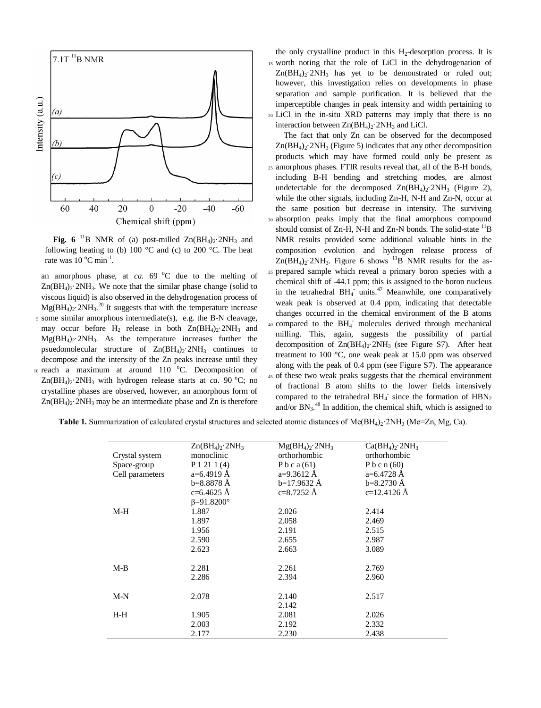

**Fig.** 6<sup>11</sup>B NMR of (a) post-milled  $Zn(BH_4)_2$ ·2NH<sub>3</sub> and following heating to (b) 100  $\degree$ C and (c) to 200  $\degree$ C. The heat rate was  $10^{\circ}$ C min<sup>-1</sup>.

an amorphous phase, at *ca*.  $69^{\circ}$ C due to the melting of  $Zn(BH_4)_2$ . 2NH<sub>3</sub>. We note that the similar phase change (solid to viscous liquid) is also observed in the dehydrogenation process of  $Mg(BH_4)_2$  2NH<sub>3</sub>.<sup>20</sup> It suggests that with the temperature increase <sup>5</sup> some similar amorphous intermediate(s), e.g. the B-N cleavage, may occur before H<sub>2</sub> release in both  $Zn(BH_4)$ <sup>2</sup>NH<sub>3</sub> and  $Mg(BH_4)_2$ <sup>2</sup>NH<sub>3</sub>. As the temperature increases further the psuedomolecular structure of  $Zn(BH_4)_2$ . 2NH<sub>3</sub> continues to decompose and the intensity of the Zn peaks increase until they 10 reach a maximum at around 110 °C. Decomposition of  $Zn(BH_4)_2$ ·2NH<sub>3</sub> with hydrogen release starts at *ca*. 90 °C; no crystalline phases are observed, however, an amorphous form of  $Zn(BH_4)_2$ <sup>2</sup>NH<sub>3</sub> may be an intermediate phase and Zn is therefore

the only crystalline product in this  $H_2$ -desorption process. It is <sup>15</sup> worth noting that the role of LiCl in the dehydrogenation of  $Zn(BH_4)$ <sup>2</sup>NH<sub>3</sub> has yet to be demonstrated or ruled out; however, this investigation relies on developments in phase separation and sample purification. It is believed that the imperceptible changes in peak intensity and width pertaining to <sup>20</sup> LiCl in the in-situ XRD patterns may imply that there is no interaction between  $Zn(BH_4)$ <sup>2</sup> $N$ H<sub>3</sub> and LiCl.

The fact that only Zn can be observed for the decomposed  $Zn(BH_4)_2$ <sup>2</sup>NH<sub>3</sub> (Figure 5) indicates that any other decomposition products which may have formed could only be present as <sup>25</sup> amorphous phases. FTIR results reveal that, all of the B-H bonds, including B-H bending and stretching modes, are almost undetectable for the decomposed  $Zn(BH_4)$ <sup>2</sup>NH<sub>3</sub> (Figure 2), while the other signals, including Zn-H, N-H and Zn-N, occur at the same position but decrease in intensity. The surviving <sup>30</sup> absorption peaks imply that the final amorphous compound should consist of Zn-H, N-H and Zn-N bonds. The solid-state  $^{11}B$ NMR results provided some additional valuable hints in the composition evolution and hydrogen release process of  $Zn(BH_4)_2$ ·2NH<sub>3</sub>. Figure 6 shows <sup>11</sup>B NMR results for the as-<sup>35</sup> prepared sample which reveal a primary boron species with a chemical shift of -44.1 ppm; this is assigned to the boron nucleus in the tetrahedral  $BH_4$  units.<sup>47</sup> Meanwhile, one comparatively weak peak is observed at 0.4 ppm, indicating that detectable changes occurred in the chemical environment of the B atoms 40 compared to the BH<sub>4</sub><sup>-</sup> molecules derived through mechanical milling. This, again, suggests the possibility of partial decomposition of  $Zn(BH_4)_2$ :  $2NH_3$  (see Figure S7). After heat treatment to 100 °C, one weak peak at 15.0 ppm was observed along with the peak of 0.4 ppm (see Figure S7). The appearance <sup>45</sup> of these two weak peaks suggests that the chemical environment of fractional B atom shifts to the lower fields intensively compared to the tetrahedral  $BH_4^-$  since the formation of  $HBN_2$ and/or  $BN_3$ .<sup>48</sup> In addition, the chemical shift, which is assigned to

**Table 1.** Summarization of calculated crystal structures and selected atomic distances of  $Me(BH<sub>4</sub>)<sub>2</sub>$ :  $2NH<sub>3</sub>$  (Me=Zn, Mg, Ca).

| Crystal system  | $Zn(BH_4)$ <sup>2NH<sub>3</sub></sup><br>monoclinic | $Mg(BH_4)$ , 2NH <sub>3</sub><br>orthorhombic | $Ca(BH_4)$ <sup>2NH<sub>3</sub></sup><br>orthorhombic |
|-----------------|-----------------------------------------------------|-----------------------------------------------|-------------------------------------------------------|
| Space-group     | P1211(4)                                            | Pbca $(61)$                                   | P b c n $(60)$                                        |
| Cell parameters | $a=6.4919 \text{ Å}$                                | $a=9.3612 \text{ Å}$                          | $a=6.4728$ Å                                          |
|                 | $b=8.8878 \text{ Å}$                                | $b=17.9632 \text{ Å}$                         | $b=8.2730 \text{ Å}$                                  |
|                 | $c=6.4625$ Å                                        | $c=8.7252 \text{ Å}$                          | $c=12.4126$ Å                                         |
|                 | $\beta = 91.8200^{\circ}$                           |                                               |                                                       |
| M-H             | 1.887                                               | 2.026                                         | 2.414                                                 |
|                 | 1.897                                               | 2.058                                         | 2.469                                                 |
|                 | 1.956                                               | 2.191                                         | 2.515                                                 |
|                 | 2.590                                               | 2.655                                         | 2.987                                                 |
|                 | 2.623                                               | 2.663                                         | 3.089                                                 |
|                 |                                                     |                                               |                                                       |
| M-B             | 2.281                                               | 2.261                                         | 2.769                                                 |
|                 | 2.286                                               | 2.394                                         | 2.960                                                 |
|                 |                                                     |                                               |                                                       |
| $M-N$           | 2.078                                               | 2.140                                         | 2.517                                                 |
|                 |                                                     | 2.142                                         |                                                       |
| H-H             | 1.905                                               | 2.081                                         | 2.026                                                 |
|                 | 2.003                                               | 2.192                                         | 2.332                                                 |
|                 | 2.177                                               | 2.230                                         | 2.438                                                 |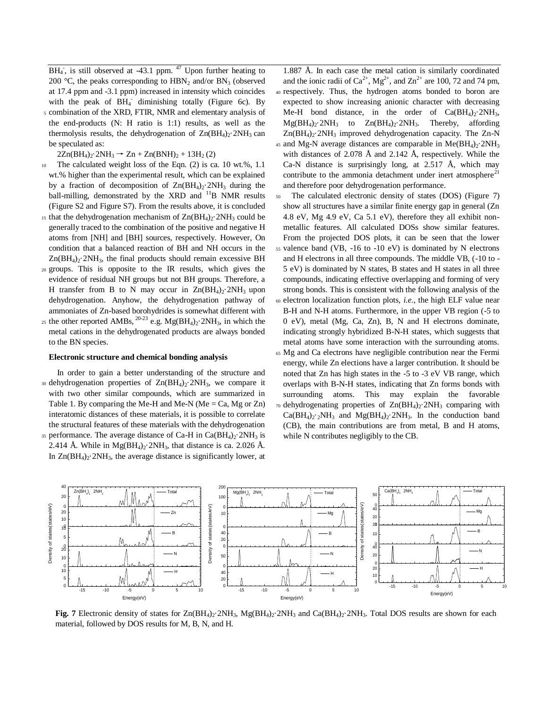$BH<sub>4</sub>$ , is still observed at -43.1 ppm. <sup>47</sup> Upon further heating to 200 °C, the peaks corresponding to  $HBN_2$  and/or  $BN_3$  (observed at 17.4 ppm and -3.1 ppm) increased in intensity which coincides with the peak of BH<sub>4</sub> diminishing totally (Figure 6c). By

<sup>5</sup> combination of the XRD, FTIR, NMR and elementary analysis of the end-products (N: H ratio is 1:1) results, as well as the thermolysis results, the dehydrogenation of  $Zn(BH_4)_2$ :  $2NH_3$  can be speculated as:

 $2Zn(BH_4)_2.2NH_3 \rightarrow Zn + Zn(BNH)_2 + 13H_2(2)$ 

- <sup>10</sup> The calculated weight loss of the Eqn. (2) is ca. 10 wt.%, 1.1 wt.% higher than the experimental result, which can be explained by a fraction of decomposition of  $Zn(BH_4)_2$ . 2NH<sub>3</sub> during the ball-milling, demonstrated by the XRD and <sup>11</sup>B NMR results (Figure S2 and Figure S7). From the results above, it is concluded
- 15 that the dehydrogenation mechanism of  $Zn(BH_4)_2$ . 2NH<sub>3</sub> could be generally traced to the combination of the positive and negative H atoms from [NH] and [BH] sources, respectively. However, On condition that a balanced reaction of BH and NH occurs in the  $Zn(BH_4)$ <sup>2</sup>NH<sub>3</sub>, the final products should remain excessive BH
- <sup>20</sup> groups. This is opposite to the IR results, which gives the evidence of residual NH groups but not BH groups. Therefore, a H transfer from B to N may occur in  $\text{Zn}(BH_4)_2$ .  $2NH_3$  upon dehydrogenation. Anyhow, the dehydrogenation pathway of ammoniates of Zn-based borohydrides is somewhat different with
- 25 the other reported AMBs,  $^{20-23}$  e.g. Mg(BH<sub>4</sub>)<sub>2</sub>·2NH<sub>3</sub>, in which the metal cations in the dehydrogenated products are always bonded to the BN species.

# **Electronic structure and chemical bonding analysis**

- In order to gain a better understanding of the structure and 30 dehydrogenation properties of  $Zn(BH_4)_2$ . 2NH<sub>3</sub>, we compare it with two other similar compounds, which are summarized in Table 1. By comparing the Me-H and Me-N (Me = Ca, Mg or Zn) interatomic distances of these materials, it is possible to correlate the structural features of these materials with the dehydrogenation 35 performance. The average distance of Ca-H in  $Ca(BH<sub>4</sub>)<sub>2</sub>$ .  $2NH<sub>3</sub>$  is
- 2.414 Å. While in  $Mg(BH_4)_2$  2NH<sub>3</sub>, that distance is ca. 2.026 Å. In  $Zn(BH_4)_2$ ·2NH<sub>3</sub>, the average distance is significantly lower, at

1.887 Å. In each case the metal cation is similarly coordinated and the ionic radii of  $Ca^{2+}$ ,  $Mg^{2+}$ , and  $Zn^{2+}$  are 100, 72 and 74 pm, <sup>40</sup> respectively. Thus, the hydrogen atoms bonded to boron are expected to show increasing anionic character with decreasing Me-H bond distance, in the order of  $Ca(BH_4)_2$ -2NH<sub>3</sub>,  $Mg(BH_4)_2$ ·2NH<sub>3</sub> to  $Zn(BH_4)_2$ ·2NH<sub>3</sub>. Thereby, affording  $Zn(BH_4)_2$ <sup>2</sup>NH<sub>3</sub> improved dehydrogenation capacity. The Zn-N

- 45 and Mg-N average distances are comparable in Me( $BH<sub>4</sub>$ )<sub>2</sub>·2NH<sub>3</sub> with distances of 2.078 Å and 2.142 Å, respectively. While the Ca-N distance is surprisingly long, at 2.517 Å, which may contribute to the ammonia detachment under inert atmosphere<sup>21</sup> and therefore poor dehydrogenation performance.
- <sup>50</sup> The calculated electronic density of states (DOS) (Figure 7) show all structures have a similar finite energy gap in general (Zn 4.8 eV, Mg 4.9 eV, Ca 5.1 eV), therefore they all exhibit nonmetallic features. All calculated DOSs show similar features. From the projected DOS plots, it can be seen that the lower
- <sup>55</sup> valence band (VB, -16 to -10 eV) is dominated by N electrons and H electrons in all three compounds. The middle VB, (-10 to - 5 eV) is dominated by N states, B states and H states in all three compounds, indicating effective overlapping and forming of very strong bonds. This is consistent with the following analysis of the
- <sup>60</sup> electron localization function plots, *i.e.*, the high ELF value near B-H and N-H atoms. Furthermore, in the upper VB region (-5 to 0 eV), metal (Mg, Ca, Zn), B, N and H electrons dominate, indicating strongly hybridized B-N-H states, which suggests that metal atoms have some interaction with the surrounding atoms.
- <sup>65</sup> Mg and Ca electrons have negligible contribution near the Fermi energy, while Zn elections have a larger contribution. It should be noted that Zn has high states in the -5 to -3 eV VB range, which overlaps with B-N-H states, indicating that Zn forms bonds with surrounding atoms. This may explain the favorable  $70$  dehydrogenating properties of  $Zn(BH_4)_2$ ·2NH<sub>3</sub> comparing with  $Ca(BH<sub>4</sub>)<sub>2</sub>·<sub>2</sub>NH<sub>3</sub>$  and  $Mg(BH<sub>4</sub>)<sub>2</sub>·<sub>2</sub>NH<sub>3</sub>$ . In the conduction band (CB), the main contributions are from metal, B and H atoms, while N contributes negligibly to the CB.



**Fig. 7** Electronic density of states for  $Zn(BH_4)_2.2NH_3$ ,  $Mg(BH_4)_2.2NH_3$  and  $Ca(BH_4)_2.2NH_3$ . Total DOS results are shown for each material, followed by DOS results for M, B, N, and H.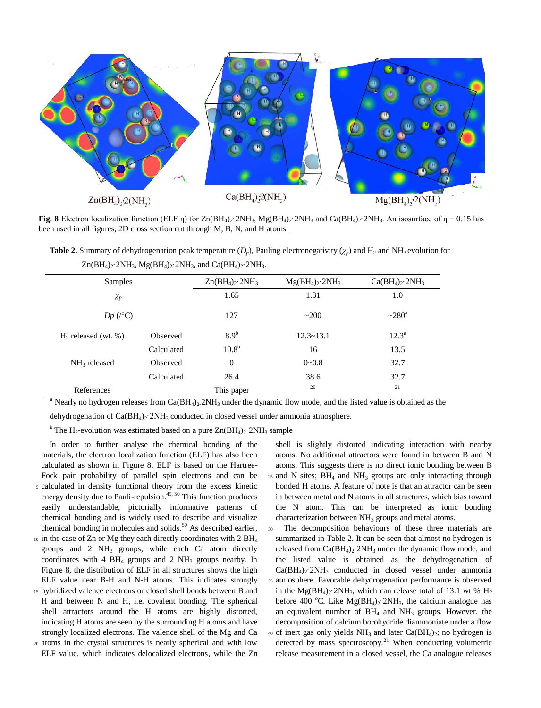

**Fig. 8** Electron localization function (ELF η) for  $Zn(BH_4)_2 \cdot 2NH_3$ ,  $Mg(BH_4)_2 \cdot 2NH_3$  and  $Ca(BH_4)_2 \cdot 2NH_3$ . An isosurface of  $\eta = 0.15$  has been used in all figures, 2D cross section cut through M, B, N, and H atoms.

**Table 2.** Summary of dehydrogenation peak temperature  $(D_p)$ , Pauling electronegativity  $(\chi_p)$  and H<sub>2</sub> and NH<sub>3</sub> evolution for  $Zn(BH_4)_2.2NH_3$ ,  $Mg(BH_4)_2.2NH_3$ , and  $Ca(BH_4)_2.2NH_3$ .

| Samples                  |            | $Zn(BH_4)$ , 2NH <sub>3</sub> | $Mg(BH_4)$ , 2NH <sub>3</sub> | $Ca(BH_4)_{2}$ . $2NH_3$ |
|--------------------------|------------|-------------------------------|-------------------------------|--------------------------|
| $\chi_p$                 |            | 1.65                          | 1.31                          | 1.0                      |
| $Dp\ (C)$                |            | 127                           | ~200                          | $\sim 280^{\rm a}$       |
| $H_2$ released (wt. %)   | Observed   | 8.9 <sup>b</sup>              | $12.3 \times 13.1$            | $12.3^{\rm a}$           |
|                          | Calculated | 10.8 <sup>b</sup>             | 16                            | 13.5                     |
| $NH3$ released           | Observed   | $\overline{0}$                | $0 - 0.8$                     | 32.7                     |
|                          | Calculated | 26.4                          | 38.6                          | 32.7                     |
| References<br>This paper |            | 20                            | 21                            |                          |

<sup>a</sup> Nearly no hydrogen releases from Ca(BH<sub>4</sub>)<sub>2</sub>.2NH<sub>3</sub> under the dynamic flow mode, and the listed value is obtained as the

dehydrogenation of  $Ca(BH_4)_2$ :  $2NH_3$  conducted in closed vessel under ammonia atmosphere.

<sup>*b*</sup> The H<sub>2</sub>-evolution was estimated based on a pure  $Zn(BH_4)_2$ <sup>2</sup>NH<sub>3</sub> sample

In order to further analyse the chemical bonding of the materials, the electron localization function (ELF) has also been calculated as shown in Figure 8. ELF is based on the Hartree-Fock pair probability of parallel spin electrons and can be <sup>5</sup> calculated in density functional theory from the excess kinetic energy density due to Pauli-repulsion.<sup>49, 50</sup> This function produces easily understandable, pictorially informative patterns of chemical bonding and is widely used to describe and visualize chemical bonding in molecules and solids.<sup>50</sup> As described earlier,

- $10$  in the case of Zn or Mg they each directly coordinates with 2 BH<sub>4</sub> groups and  $2$  NH<sub>3</sub> groups, while each Ca atom directly coordinates with  $4 \text{ BH}_4$  groups and  $2 \text{ NH}_3$  groups nearby. In Figure 8, the distribution of ELF in all structures shows the high Figure 8, the distribution of ELF in all structures shows the high La(BH<sub>4)2</sub>.2NH<sub>3</sub> conducted in closed vessel und<br>ELF value near B-H and N-H atoms. This indicates strongly ss atmosphere. Favorable dehydrogenation perform
- <sup>15</sup> hybridized valence electrons or closed shell bonds between B and nybridized valence electrons or closed shell bonds between B and in the Mg(BH<sub>4</sub>)<sub>2</sub>·2NH<sub>3</sub>, which can release total or 13.1<br>H and between N and H, i.e. covalent bonding. The spherical before 400 °C. Like Mg(BH<sub>4</sub>)<sub>2</sub>·2NH shell attractors around the H atoms are highly distorted, indicating H atoms are seen by the surrounding H atoms and have strongly localized electrons. The valence shell of the Mg and Ca  $\overline{a}$  ao of inert gas only yields NH<sub>3</sub> a
- <sup>20</sup> atoms in the crystal structures is nearly spherical and with low ELF value, which indicates delocalized electrons, while the Zn

shell is slightly distorted indicating interaction with nearby atoms. No additional attractors were found in between B and N atoms. This suggests there is no direct ionic bonding between B  $_{25}$  and N sites;  $BH<sub>4</sub>$  and  $NH<sub>3</sub>$  groups are only interacting through bonded H atoms. A feature of note is that an attractor can be seen in between metal and N atoms in all structures, which bias toward the N atom. This can be interpreted as ionic bonding characterization between NH<sub>3</sub> groups and metal atoms.

The decomposition behaviours of these three materials are summarized in Table 2. It can be seen that almost no hydrogen is released from  $Ca(BH_4)_2$ :  $2NH_3$  under the dynamic flow mode, and the listed value is obtained as the dehydrogenation of  $Ca(BH<sub>4</sub>)<sub>2</sub>·2NH<sub>3</sub>$  conducted in closed vessel under ammonia <sup>35</sup> atmosphere. Favorable dehydrogenation performance is observed in the  $Mg(BH_4)_2$ . 2NH<sub>3</sub>, which can release total of 13.1 wt % H<sub>2</sub> before 400 °C. Like  $Mg(BH_4)_2$  2NH<sub>3</sub>, the calcium analogue has an equivalent number of  $BH<sub>4</sub>$  and  $NH<sub>3</sub>$  groups. However, the decomposition of calcium borohydride diammoniate under a flow  $40$  of inert gas only yields NH<sub>3</sub> and later Ca(BH<sub>4</sub>)<sub>2</sub>; no hydrogen is detected by mass spectroscopy.<sup>21</sup> When conducting volumetric release measurement in a closed vessel, the Ca analogue releases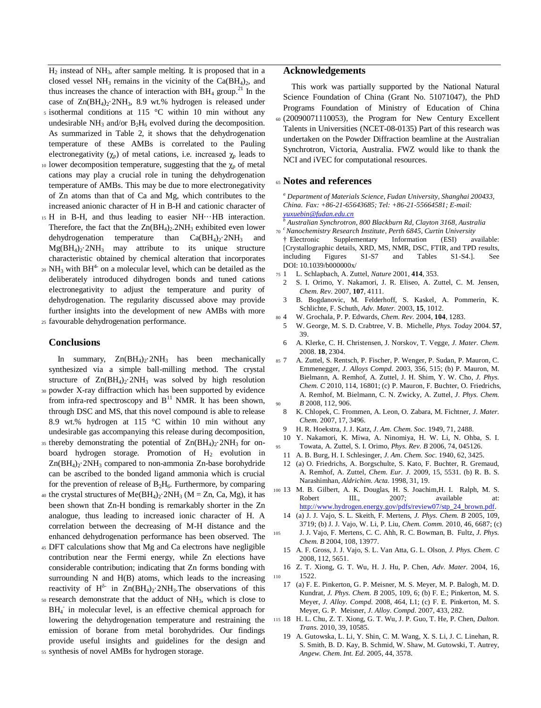H<sup>2</sup> instead of NH3, after sample melting. It is proposed that in a closed vessel NH<sub>3</sub> remains in the vicinity of the  $Ca(BH<sub>4</sub>)<sub>2</sub>$ , and thus increases the chance of interaction with  $BH<sub>4</sub>$  group.<sup>21</sup> In the case of  $Zn(BH_4)_2$ ·2NH<sub>3</sub>, 8.9 wt.% hydrogen is released under

- <sup>5</sup> isothermal conditions at 115 °C within 10 min without any undesirable  $NH_3$  and/or  $B_2H_6$  evolved during the decomposition. As summarized in Table 2, it shows that the dehydrogenation temperature of these AMBs is correlated to the Pauling electronegativity ( $\chi_p$ ) of metal cations, i.e. increased  $\chi_p$  leads to
- 10 lower decomposition temperature, suggesting that the  $\chi_{\rm p}$  of metal cations may play a crucial role in tuning the dehydrogenation temperature of AMBs. This may be due to more electronegativity of Zn atoms than that of Ca and Mg, which contributes to the increased anionic character of H in B-H and cationic character of
- <sup>15</sup> H in B-H, and thus leading to easier NH···HB interaction. Therefore, the fact that the  $Zn(BH_4)_2$ .  $2NH_3$  exhibited even lower dehydrogenation temperature than  $Ca(BH<sub>4</sub>)<sub>2</sub>$ .  $2NH<sub>3</sub>$  and  $Mg(BH_4)_2$ <sup>2</sup>NH<sub>3</sub> may attribute to its unique structure characteristic obtained by chemical alteration that incorporates
- $_{20}$  NH<sub>3</sub> with BH<sup>4-</sup> on a molecular level, which can be detailed as the deliberately introduced dihydrogen bonds and tuned cations electronegativity to adjust the temperature and purity of dehydrogenation. The regularity discussed above may provide further insights into the development of new AMBs with more

<sup>25</sup> favourable dehydrogenation performance.

### **Conclusions**

In summary,  $Zn(BH_4)_2$ :  $2NH_3$  has been mechanically synthesized via a simple ball-milling method. The crystal structure of  $Zn(BH_4)_2$ :  $2NH_3$  was solved by high resolution <sup>30</sup> powder X-ray diffraction which has been supported by evidence

- from infra-red spectroscopy and  $B<sup>11</sup>$  NMR. It has been shown, through DSC and MS, that this novel compound is able to release 8.9 wt.% hydrogen at 115 °C within 10 min without any undesirable gas accompanying this release during decomposition,
- 35 thereby demonstrating the potential of  $Zn(BH<sub>4</sub>)<sub>2</sub>$ . 2NH<sub>3</sub> for onboard hydrogen storage. Promotion of  $H_2$  evolution in  $Zn(BH<sub>4</sub>)<sub>2</sub>$ . 2NH<sub>3</sub> compared to non-ammonia Zn-base borohydride can be ascribed to the bonded ligand ammonia which is crucial for the prevention of release of  $B_2H_6$ . Furthermore, by comparing
- 40 the crystal structures of  $Me(BH_4)_2$ ·2NH<sub>3</sub> (M = Zn, Ca, Mg), it has been shown that Zn-H bonding is remarkably shorter in the Zn analogue, thus leading to increased ionic character of H. A correlation between the decreasing of M-H distance and the enhanced dehydrogenation performance has been observed. The
- <sup>45</sup> DFT calculations show that Mg and Ca electrons have negligible contribution near the Fermi energy, while Zn elections have considerable contribution; indicating that Zn forms bonding with surrounding N and H(B) atoms, which leads to the increasing reactivity of  $H^{\delta-}$  in  $Zn(BH_4)_2$  2NH<sub>3</sub>. The observations of this
- <sup>50</sup> research demonstrate that the adduct of NH3, which is close to BH<sub>4</sub> in molecular level, is an effective chemical approach for lowering the dehydrogenation temperature and restraining the emission of borane from metal borohydrides. Our findings provide useful insights and guidelines for the design and
- <sup>55</sup> synthesis of novel AMBs for hydrogen storage.

## **Acknowledgements**

This work was partially supported by the National Natural Science Foundation of China (Grant No. 51071047), the PhD Programs Foundation of Ministry of Education of China <sup>60</sup> (20090071110053), the Program for New Century Excellent Talents in Universities (NCET-08-0135) Part of this research was undertaken on the Powder Diffraction beamline at the Australian Synchrotron, Victoria, Australia. FWZ would like to thank the NCI and iVEC for computational resources.

# <sup>65</sup> **Notes and references**

*<sup>a</sup> Department of Materials Science, Fudan University, Shanghai 200433, China. Fax: +86-21-65643685; Tel: +86-21-55664581; E-mail: [yuxuebin@fudan.edu.cn](mailto:yuxuebin@fudan.edu.cn)*

*<sup>b</sup> Australian Synchrotron, 800 Blackburn Rd, Clayton 3168, Australia c*  <sup>70</sup> *Nanochemistry Research Institute, Perth 6845, Curtin University*

- † Electronic Supplementary Information (ESI) available: [Crystallographic details, XRD, MS, NMR, DSC, FTIR, and TPD results, including Figures S1-S7 and Tables S1-S4.]. See including Figures S1-S7 and Tables S1-S4.]. See DOI: 10.1039/b0000000x/
- <sup>75</sup> 1 L. Schlapbach, A. Zuttel, *Nature* 2001, **414**, 353.
- 2 S. I. Orimo, Y. Nakamori, J. R. Eliseo, A. Zuttel, C. M. Jensen, *Chem. Rev.* 2007, **107**, 4111.
- 3 B. Bogdanovic, M. Felderhoff, S. Kaskel, A. Pommerin, K. Schlichte, F. Schuth, *Adv. Mater.* 2003, **15**, 1012.
- <sup>80</sup> 4 W. Grochala, P. P. Edwards, *Chem. Rev.* 2004, **104**, 1283.
- 5 W. George, M. S. D. Crabtree, V. B. Michelle, *Phys. Today* 2004. **57**, 39.
- 6 A. Klerke, C. H. Christensen, J. Norskov, T. Vegge, *J. Mater. Chem.* 2008. **18**, 2304.
- <sup>85</sup> 7 A. Zuttel, S. Rentsch, P. Fischer, P. Wenger, P. Sudan, P. Mauron, C. Emmenegger, *J. Alloys Compd.* 2003, 356, 515; (b) P. Mauron, M. Bielmann, A. Remhof, A. Zuttel, J. H. Shim, Y. W. Cho, *J. Phys. Chem. C* 2010, 114, 16801; (c) P. Mauron, F. Buchter, O. Friedrichs, A. Remhof, M. Bielmann, C. N. Zwicky, A. Zuttel, *J. Phys. Chem.*  <sup>90</sup> *B* 2008, 112, 906.
- 8 K. Chlopek, C. Frommen, A. Leon, O. Zabara, M. Fichtner, *J. Mater. Chem.* 2007, 17, 3496.
- 9 H. R. Hoekstra, J. J. Katz, *J. Am. Chem. Soc.* 1949, 71, 2488.
- 10 Y. Nakamori, K. Miwa, A. Ninomiya, H. W. Li, N. Ohba, S. I. <sup>95</sup> Towata, A. Zuttel, S. I. Orimo, *Phys. Rev. B* 2006, 74, 045126.
	- 11 A. B. Burg, H. I. Schlesinger, *J. Am. Chem. Soc.* 1940, 62, 3425.
- 12 (a) O. Friedrichs, A. Borgschulte, S. Kato, F. Buchter, R. Gremaud, A. Remhof, A. Zuttel, *Chem. Eur. J.* 2009, 15, 5531. (b) R. B. S. Narashimhan, *Aldrichim. Acta.* 1998, 31, 19.
- <sup>100</sup> 13 M. B. Gilbert, A. K. Douglas, H. S. Joachim,H. I. Ralph, M. S. Robert III., 2007; available at: [http://www.hydrogen.energy.gov/pdfs/review07/stp\\_24\\_brown.pdf.](http://www.hydrogen.energy.gov/pdfs/review07/stp_24_brown.pdf)
- 14 (a) J. J. Vajo, S. L. Skeith, F. Mertens, *J. Phys. Chem. B* 2005, 109, 3719; (b) J. J. Vajo, W. Li, P. Liu, *Chem. Comm.* 2010, 46, 6687; (c) <sup>105</sup> J. J. Vajo, F. Mertens, C. C. Ahh, R. C. Bowman, B. Fultz, *J. Phys. Chem. B* 2004, 108, 13977.
	- 15 A. F. Gross, J. J. Vajo, S. L. Van Atta, G. L. Olson, *J. Phys. Chem. C*  2008, 112, 5651.
- 16 Z. T. Xiong, G. T. Wu, H. J. Hu, P. Chen, *Adv. Mater.* 2004, 16, <sup>110</sup> 1522.
	- 17 (a) F. E. Pinkerton, G. P. Meisner, M. S. Meyer, M. P. Balogh, M. D. Kundrat, *J. Phys. Chem. B* 2005, 109, 6; (b) F. E.; Pinkerton, M. S. Meyer, *J. Alloy. Compd.* 2008, 464, L1; (c) F. E. Pinkerton, M. S. Meyer, G. P. Meisner, *J. Alloy. Compd.* 2007, 433, 282.
- <sup>115</sup> 18 H. L. Chu, Z. T. Xiong, G. T. Wu, J. P. Guo, T. He, P. Chen, *Dalton. Trans.* 2010, 39, 10585.
	- 19 A. Gutowska, L. Li, Y. Shin, C. M. Wang, X. S. Li, J. C. Linehan, R. S. Smith, B. D. Kay, B. Schmid, W. Shaw, M. Gutowski, T. Autrey, *Angew. Chem. Int. Ed*. 2005, 44*,* 3578.